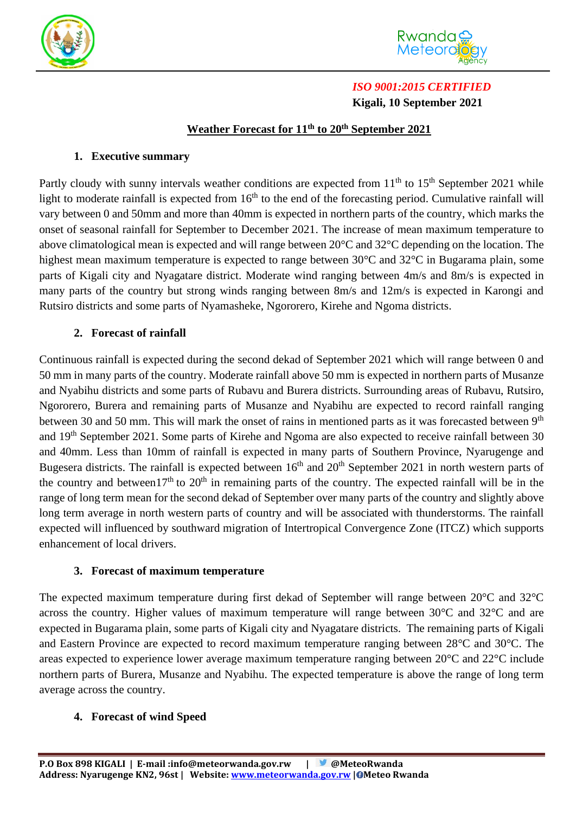



# *ISO 9001:2015 CERTIFIED*  **Kigali, 10 September 2021**

# **Weather Forecast for 11 th to 20 th September 2021**

## **1. Executive summary**

Partly cloudy with sunny intervals weather conditions are expected from  $11<sup>th</sup>$  to  $15<sup>th</sup>$  September 2021 while light to moderate rainfall is expected from 16<sup>th</sup> to the end of the forecasting period. Cumulative rainfall will vary between 0 and 50mm and more than 40mm is expected in northern parts of the country, which marks the onset of seasonal rainfall for September to December 2021. The increase of mean maximum temperature to above climatological mean is expected and will range between 20°C and 32°C depending on the location. The highest mean maximum temperature is expected to range between 30°C and 32°C in Bugarama plain, some parts of Kigali city and Nyagatare district. Moderate wind ranging between 4m/s and 8m/s is expected in many parts of the country but strong winds ranging between 8m/s and 12m/s is expected in Karongi and Rutsiro districts and some parts of Nyamasheke, Ngororero, Kirehe and Ngoma districts.

## **2. Forecast of rainfall**

Continuous rainfall is expected during the second dekad of September 2021 which will range between 0 and 50 mm in many parts of the country. Moderate rainfall above 50 mm is expected in northern parts of Musanze and Nyabihu districts and some parts of Rubavu and Burera districts. Surrounding areas of Rubavu, Rutsiro, Ngororero, Burera and remaining parts of Musanze and Nyabihu are expected to record rainfall ranging between 30 and 50 mm. This will mark the onset of rains in mentioned parts as it was forecasted between 9<sup>th</sup> and 19th September 2021. Some parts of Kirehe and Ngoma are also expected to receive rainfall between 30 and 40mm. Less than 10mm of rainfall is expected in many parts of Southern Province, Nyarugenge and Bugesera districts. The rainfall is expected between  $16<sup>th</sup>$  and  $20<sup>th</sup>$  September 2021 in north western parts of the country and between  $17<sup>th</sup>$  to  $20<sup>th</sup>$  in remaining parts of the country. The expected rainfall will be in the range of long term mean for the second dekad of September over many parts of the country and slightly above long term average in north western parts of country and will be associated with thunderstorms. The rainfall expected will influenced by southward migration of Intertropical Convergence Zone (ITCZ) which supports enhancement of local drivers.

#### **3. Forecast of maximum temperature**

The expected maximum temperature during first dekad of September will range between 20°C and 32°C across the country. Higher values of maximum temperature will range between 30°C and 32°C and are expected in Bugarama plain, some parts of Kigali city and Nyagatare districts. The remaining parts of Kigali and Eastern Province are expected to record maximum temperature ranging between 28°C and 30°C. The areas expected to experience lower average maximum temperature ranging between 20°C and 22°C include northern parts of Burera, Musanze and Nyabihu. The expected temperature is above the range of long term average across the country.

#### **4. Forecast of wind Speed**